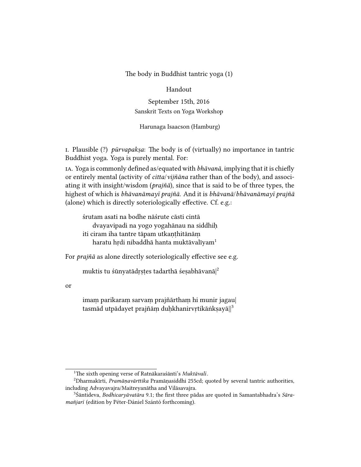The body in Buddhist tantric yoga (1)

## Handout

September 15th, 2016 Sanskrit Texts on Yoga Workshop

Harunaga Isaacson (Hamburg)

I. Plausible  $(?)$  pūrvapakṣa: The body is of (virtually) no importance in tantric Buddhist yoga. Yoga is purely mental. For:

IA. Yoga is commonly defined as/equated with *bhāvanā*, implying that it is chiefly or entirely mental (activity of citta/vijñāna rather than of the body), and associating it with insight/wisdom (prajñā), since that is said to be of three types, the highest of which is bhāvanāmayī prajñā. And it is bhāvanā/bhāvanāmayī prajñā (alone) which is directly soteriologically effective. Cf. e.g.:

śrutam asati na bodhe nāśrute cāsti cintā dvayavipadi na yogo yogahānau na siddhiḥ iti ciram iha tantre tāpam utkanthitānām haratu hrdi nibaddhā hanta muktāvalīyam<sup>1</sup>

For prajñā as alone directly soteriologically effective see e.g.

muktis tu śūnyatādrstes tadarthā śesabhāvanā $|^2$ 

or

imaṃ parikaraṃ sarvaṃ prajñārthaṃ hi munir jagau| tasmād utpādayet prajñām duḥkhanirvṛtikāṅkṣayā||3

<sup>&</sup>lt;sup>1</sup>The sixth opening verse of Ratnākaraśānti's Muktāvalī.

 ${}^{2}$ Dharmakīrti, *Pramāṇavārttika* Pramānasiddhi 255cd; quoted by several tantric authorities, including Advayavajra/Maitreyanātha and Vilāsavajra.

<sup>&</sup>lt;sup>3</sup>Śāntideva, Bodhicaryāvatāra 9.1; the first three pādas are quoted in Samantabhadra's Sāramañjarī (edition by Péter-Dániel Szántó forthcoming).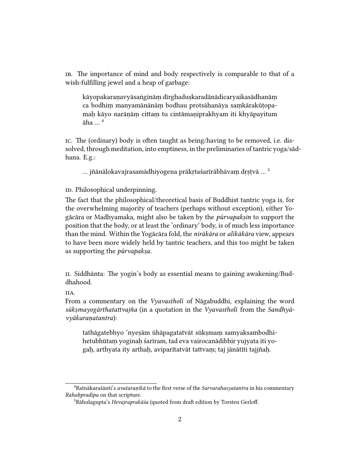ib. The importance of mind and body respectively is comparable to that of a wish-fulfilling jewel and a heap of garbage:

kāyopakaraṇavyāsaṅgināṃ dīrghaduṣkaradānādicaryaikasādhanāṃ ca bodhiṃ manyamānānāṃ bodhau protsāhanāya saṃkārakūṭopamaḥ kāyo narāṇāṃ cittaṃ tu cintāmaṇiprakhyam iti khyāpayitum  $\bar{a}$ ha  $\ldots$ <sup>4</sup>

ic. The (ordinary) body is often taught as being/having to be removed, i.e. dissolved, through meditation, into emptiness, in the preliminaries of tantric yoga/sādhana. E.g.:

… jñānālokavajrasamādhiyogena prākṛtaśarīrābhāvaṃ dṛṣṭvā … <sup>5</sup>

ID. Philosophical underpinning.

The fact that the philosophical/theoretical basis of Buddhist tantric yoga is, for the overwhelming majority of teachers (perhaps without exception), either Yogācāra or Madhyamaka, might also be taken by the pūrvapakṣin to support the position that the body, or at least the 'ordinary' body, is of much less importance than the mind. Within the Yogācāra fold, the nirākāra or alīkākāra view, appears to have been more widely held by tantric teachers, and this too might be taken as supporting the pūrvapakṣa.

ii. Siddhānta: The yogin's body as essential means to gaining awakening/Buddhahood.

IIA.

From a commentary on the Vyavastholī of Nāgabuddhi, explaining the word sūkṣmayogārthatattvajña (in a quotation in the Vyavastholī from the Sandhyāvyākaraṇatantra):

tathāgatebhyo 'nyeṣām ūhāpagatatvāt sūkṣmaṃ samyaksambodhihetubhūtaṃ yoginaḥ śarīram, tad eva vairocanādibhir yujyata iti yogaḥ, arthyata ity arthaḥ, aviparītatvāt tattvaṃ; taj jānātīti tajjñaḥ.

<sup>&</sup>lt;sup>4</sup>Ratnākaraśānti's *avataranikā* to the first verse of the *Sarvarahasyatantra* in his commentary Rahahpradīpa on that scripture.

<sup>&</sup>lt;sup>5</sup>Rāhulagupta's Hevajraprakāśa (quoted from draft edition by Torsten Gerloff.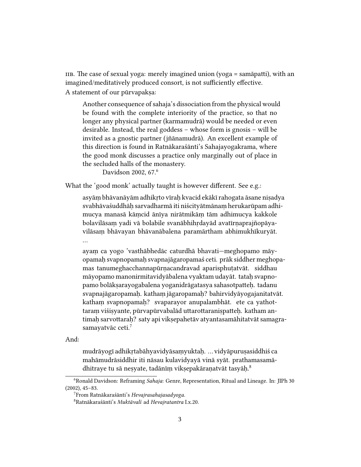IIB. The case of sexual yoga: merely imagined union (yoga = samāpatti), with an imagined/meditatively produced consort, is not sufficiently effective. A statement of our pūrvapaksa:

Another consequence of sahaja's dissociation from the physical would be found with the complete interiority of the practice, so that no longer any physical partner (karmamudrā) would be needed or even desirable. Instead, the real goddess – whose form is gnosis – will be invited as a gnostic partner (jñānamudrā). An excellent example of this direction is found in Ratnākaraśānti's Sahajayogakrama, where the good monk discusses a practice only marginally out of place in the secluded halls of the monastery.

Davidson 2002, 67.<sup>6</sup>

What the 'good monk' actually taught is however different. See e.g.:

asyāṃ bhāvanāyām adhikṛto vīraḥ kvacid ekākī rahogata āsane niṣadya svabhāvaśuddhāḥ sarvadharmā iti niścityātmānaṃ herukarūpam adhimucya manasā kāṃcid ānīya nirātmikāṃ tām adhimucya kakkole bolavilāsaṃ yadi vā bolabile svanābhihṛdayād avatīrṇaprajñopāyavilāsaṃ bhāvayan bhāvanābalena paramārtham abhimukhīkuryāt. …

ayaṃ ca yogo 'vasthābhedāc caturdhā bhavati—meghopamo māyopamaḥ svapnopamaḥ svapnajāgaropamaś ceti. prāk siddher meghopamas tanumeghacchannapūrṇacandravad aparisphuṭatvāt. siddhau māyopamo manonirmitavidyābalena vyaktam udayāt. tatah svapnopamo bolākṣarayogabalena yoganidrāgatasya sahasotpatteḥ. tadanu svapnajāgaropamaḥ. kathaṃ jāgaropamaḥ? bahirvidyāyogajanitatvāt. katham svapnopamah? svaparayor anupalambhāt. ete ca yathottaraṃ viśiṣyante, pūrvapūrvabalād uttarottaraniṣpatteḥ. katham antimah sarvottarah? saty api vikṣepahetāv atyantasamāhitatvāt samagrasamayatvāc ceti.<sup>7</sup>

And:

mudrāyogī adhikrtabāhyavidyāsamyuktah. ... vidyāpurusasiddhiś ca mahāmudrāsiddhir iti nāsau kulavidyayā vinā syāt. prathamasamādhitraye tu sā neṣyate, tadānīṃ vikṣepakāraṇatvāt tasyāḥ.<sup>8</sup>

<sup>&</sup>lt;sup>6</sup>Ronald Davidson: Reframing Sahaja: Genre, Representation, Ritual and Lineage. In: JIPh 30 (2002), 45–83.

<sup>7</sup>From Ratnākaraśānti's Hevajrasahajasadyoga.

<sup>8</sup>Ratnākaraśānti's Muktāvalī ad Hevajratantra I.x.20.